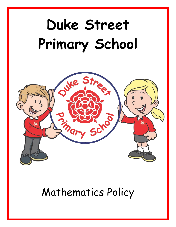# **Duke Street Primary School**



Mathematics Policy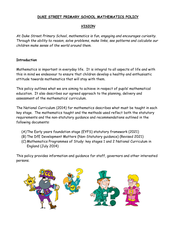## **DUKE STREET PRIMARY SCHOOL MATHEMATICS POLICY**

### *VISION*

*At Duke Street Primary School, mathematics is fun, engaging and encourages curiosity. Through the ability to reason, solve problems, make links, see patterns and calculate our children make sense of the world around them.*

### **Introduction**

Mathematics is important in everyday life. It is integral to all aspects of life and with this in mind we endeavour to ensure that children develop a healthy and enthusiastic attitude towards mathematics that will stay with them.

This policy outlines what we are aiming to achieve in respect of pupils' mathematical education. It also describes our agreed approach to the planning, delivery and assessment of the mathematics' curriculum.

The National Curriculum (2014) for mathematics describes what must be taught in each key stage. The mathematics taught and the methods used reflect both the statutory requirements and the non-statutory guidance and recommendations outlined in the following documents:

- (A)The Early years foundation stage (EYFS) statutory framework (2021)
- (B) The DfE Development Matters (Non-Statutory guidance) (Revised 2021)
- (C) Mathematics Programmes of Study: key stages 1 and 2 National Curriculum in England (July 2014)

This policy provides information and guidance for staff, governors and other interested persons.

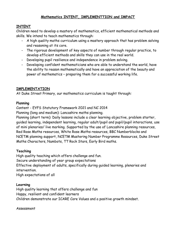# **Mathematics INTENT, IMPLEMENTTION and IMPACT**

# **INTENT**

Children need to develop a mastery of mathematics, efficient mathematical methods and skills. We intend to teach mathematics through:

- A high quality maths curriculum using a mastery approach that has problem solving and reasoning at its core.
- The rigorous development of key aspects of number through regular practice, to develop efficient methods and skills they can use in the real world.
- Developing pupil resilience and independence in problem solving.
- Developing confident mathematicians who are able to understand the world, have the ability to reason mathematically and have an appreciation of the beauty and power of mathematics – preparing them for a successful working life.

# **IMPLEMENTATION**

At Duke Street Primary, our mathematics curriculum is taught through:

## **Planning**

Content - EYFS Statutory Framework 2021 and NC 2014

Planning (long and medium): Lancashire maths planning.

Planning (short term): Daily lessons include a clear learning objective, problem starter, guided learning, independent learning, regular adult/pupil and pupil/pupil interactions, use of mini plenaries/ live marking. Supported by the use of Lancashire planning resources, Red Rose Maths resources, White Rose Maths resources, BBC Numberblocks and NCETM planning support, NCETM Mastering Number Programme Resources, Duke Street Maths Characters, Numbots, TT Rock Stars, Early Bird maths.

# **Teaching**

High quality teaching which offers challenge and fun. Secure understanding of year group expectations Effective deployment of adults, specifically during guided learning, plenaries and intervention. High expectations of all

## **Learning**

High quality learning that offers challenge and fun Happy, resilient and confident learners Children demonstrate our ICARE Core Values and a positive growth mindset.

Assessment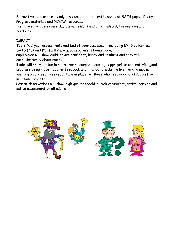Summative, Lancashire termly assessment tests, test base/ past SATS paper, Ready to Progress materials and NCETM resources

Formative – ongoing every day during lessons and after lessons, live marking and feedback.

# **IMPACT**

**Tests** Mid-year assessments and End of year assessment including EYFS outcomes, SATS (KS1 and KS2) will show good progress is being made.

**Pupil Voice** will show children are confident, happy and resilient and they talk enthusiastically about maths.

**Books** will show a pride in maths work, independence, age appropriate content with good progress being made, teacher feedback and interactions during live marking moves learning on and progress groups are in place for those who need additional support to maintain progress.

**Lesson observations** will show high quality teaching, rich vocabulary, active learning and active assessment by all adults.

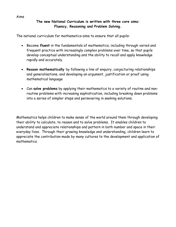#### Aims

## **The new National Curriculum is written with three core aims: Fluency, Reasoning and Problem Solving.**

The national curriculum for mathematics aims to ensure that all pupils:

- Become **fluent** in the fundamentals of mathematics, including through varied and frequent practice with increasingly complex problems over time, so that pupils develop conceptual understanding and the ability to recall and apply knowledge rapidly and accurately.
- **Reason mathematically** by following a line of enquiry, conjecturing relationships and generalisations, and developing an argument, justification or proof using mathematical language
- Can **solve problems** by applying their mathematics to a variety of routine and nonroutine problems with increasing sophistication, including breaking down problems into a series of simpler steps and persevering in seeking solutions.

Mathematics helps children to make sense of the world around them through developing their ability to calculate, to reason and to solve problems. It enables children to understand and appreciate relationships and pattern in both number and space in their everyday lives. Through their growing knowledge and understanding, children learn to appreciate the contribution made by many cultures to the development and application of mathematics.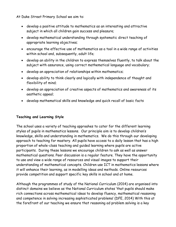At Duke Street Primary School we aim to:

- develop a positive attitude to mathematics as an interesting and attractive subject in which all children gain success and pleasure;
- develop mathematical understanding through systematic direct teaching of appropriate learning objectives;
- encourage the effective use of mathematics as a tool in a wide range of activities within school and, subsequently, adult life;
- develop an ability in the children to express themselves fluently, to talk about the subject with assurance, using correct mathematical language and vocabulary;
- develop an appreciation of relationships within mathematics;
- develop ability to think clearly and logically with independence of thought and flexibility of mind;
- develop an appreciation of creative aspects of mathematics and awareness of its aesthetic appeal;
- develop mathematical skills and knowledge and quick recall of basic facts

# **Teaching and Learning Style**

The school uses a variety of teaching approahes to cater for the different learning styles of pupils in mathematics lessons. Our principle aim is to develop children's knowledge, skills and understanding in mathematics. We do this through our developing approach to teaching for mastery. All pupils have access to a daily lesson that has a high proportion of whole-class teaching and guided learning where pupils are active participants. During these lessons we encourage children to ask as well as answer mathematical questions. Peer discussion is a regular feature. They have the opportunity to use and view a wide range of resources and visual images to support their understanding of mathematical concepts. Children use ICT in mathematics lessons where it will enhance their learning, as in modelling ideas and methods. Online resources provide competition and support specific key skills in school and at home.

Although the programmes of study of the National Curriculum (2014) are organised into distinct domains we believe as the National Curriculum states 'that pupils should make rich connections across mathematical ideas to develop fluency, mathematical reasoning and competence in solving increasing sophisticated problems' (DFE, 2014) With this at the forefront of our teaching we ensure that reasoning ad problem solving is a key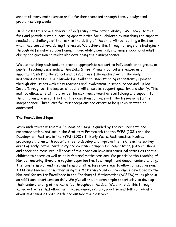aspect of every maths lesson and is further promoted through termly designated problem solving weeks.

In all classes there are children of differing mathematical ability. We recognise this fact and provide suitable learning opportunities for all children by matching the support needed and challenge of the task to the ability of the child without putting a limit on what they can achieve during the lesson. We achieve this through a range of strategies through differentiated questioning, mixed ability pairings, challenges, additional adult clarity and questioning whilst also developing their independence.

We use teaching assistants to provide appropriate support to individuals or to groups of pupils. Teaching assistants within Duke Street Primary School are viewed as an important 'asset' to the school and, as such, are fully involved within the daily mathematics lesson. Their knowledge, skills and understanding is constantly updated through discussions with class teachers and involvement in school-based and LA led Inset. Throughout the lesson, all adults will circulate, support, question and clarify. This method allows all staff to provide the maximum amount of scaffolding and support to the children who need it so that they can then continue with the lesson with further independence. This allows for misconceptions and errors to be quickly spotted ad addressed

## **The Foundation Stage**

Work undertaken within the Foundation Stage is guided by the requirements and recommendations set out in the Statutory Framework for the EYFS (2021) and the Development Matters in the EYFS (2021). In Early Years, Mathematics involves providing children with opportunities to develop and improve their skills in the six key areas of early maths; cardinality and counting, comparison, composition, pattern, shape and space and measures. All areas of the provision have mathematical activities for the children to access as well as daily focused maths sessions. We prioritise the teaching of Number ensuring there are regular opportunities to strength and deepen understanding. The long term plan and medium term plan structures coverage to allow for progression. Additional teaching of number using the Mastering Number Programme developed by the National Centre for Excellence in the Teaching of Mathematics (NCETM) takes place in an additional short session daily We give all the children ample opportunity to develop their understanding of mathematics throughout the day. We aim to do this through varied activities that allow them to use, enjoy, explore, practise and talk confidently about mathematics both inside and outside the classroom.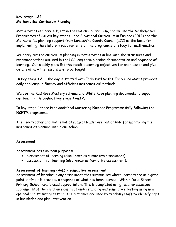## **Key Stage 1&2 Mathematics Curriculum Planning**

Mathematics is a core subject in the National Curriculum, and we use the Mathematics Programmes of Study: key stages 1 and 2 National Curriculum in England (2014) and the Mathematics planning support from Lancashire County Council (LCC) as the basis for implementing the statutory requirements of the programme of study for mathematics.

We carry out the curriculum planning in mathematics in line with the structures and recommendations outlined in the LCC long term planning documentation and sequence of learning. Our weekly plans list the specific learning objectives for each lesson and give details of how the lessons are to be taught.

In Key stage 1 & 2, the day is started with Early Bird Maths. Early Bird Maths provides daily challenge in fluency and efficient mathematical methods.

We use the Red Rose Mastery scheme and White Rose planning documents to support our teaching throughout key stage 1 and 2.

In key stage 1 there is an additional Mastering Number Programme daily following the NCETM programme.

The headteacher and mathematics subject leader are responsible for monitoring the mathematics planning within our school.

#### **Assessment**

Assessment has two main purposes:

- assessment of learning (also known as summative assessment);
- assessment for learning (also known as formative assessment).

#### **Assessment of learning (AoL) – summative assessment**

Assessment of learning is any assessment that summarises where learners are at a given point in time – it provides a snapshot of what has been learned. Within Duke Street Primary School AoL is used appropriately. This is completed using teacher assessed judgements of the children's depth of understanding and summative testing using new optional and statutory testing. The outcomes are used by teaching staff to identify gaps in knowledge and plan intervention.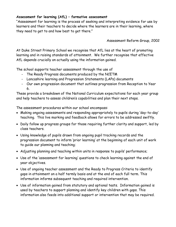## **Assessment for learning (AfL) – formative assessment**

"Assessment for learning is the process of seeking and interpreting evidence for use by learners and their teachers to decide where the learners are in their learning, where they need to get to and how best to get there."

Assessment Reform Group, 2002

At Duke Street Primary School we recognise that AfL lies at the heart of promoting learning and in raising standards of attainment. We further recognise that effective AfL depends crucially on actually using the information gained.

The school supports teacher assessment through the use of

- The Ready Progress documents produced by the NCETM
- Lancashire learning and Progression Statements (LAPs) documents
- Our own progression document that outlines progression from Reception to Year 6.

These provide a breakdown of the National Curriculum expectations for each year group and help teachers to assess children's capabilities and plan their next steps.

The assessment procedures within our school encompass:

- Making ongoing assessments and responding appropriately to pupils during 'day-to-day' teaching. This live marking and feedback allows for errors to be addressed swiftly.
- Daily follow up progress groups for those requiring further clarity and support, led by class teachers.
- Using knowledge of pupils drawn from ongoing pupil tracking records and the progression document to inform 'prior learning' at the beginning of each unit of work to guide our planning and teaching;
- Adjusting planning and teaching within units in response to pupils' performance;
- Use of the 'assessment for learning' questions to check learning against the end of year objectives.
- Use of ongoing teacher assessment and the Ready to Progress Criteria to identify gaps in attainment on a half termly basis and at the end of each full term. This information informs subsequent teaching and required intervention.
- Use of information gained from statutory and optional tests. Information gained is used by teachers to support planning and identify key children with gaps. This information also feeds into additional support or intervention that may be required.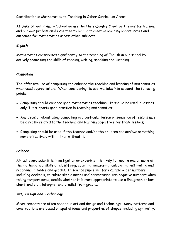Contribution in Mathematics to Teaching in Other Curriculum Areas

At Duke Street Primary School we use the Chris Quigley Creative Themes for learning and our own professional expertise to highlight creative learning opportunities and outcomes for mathematics across other subjects.

# *English*

Mathematics contributes significantly to the teaching of English in our school by actively promoting the skills of reading, writing, speaking and listening.

## *Computing*

The effective use of computing can enhance the teaching and learning of mathematics when used appropriately. When considering its use, we take into account the following points:

- Computing should enhance good mathematics teaching. It should be used in lessons only if it supports good practice in teaching mathematics;
- Any decision about using computing in a particular lesson or sequence of lessons must be directly related to the teaching and learning objectives for those lessons;
- Computing should be used if the teacher and/or the children can achieve something more effectively with it than without it;

## *Science*

Almost every scientific investigation or experiment is likely to require one or more of the mathematical skills of classifying, counting, measuring, calculating, estimating and recording in tables and graphs. In science pupils will for example order numbers, including decimals, calculate simple means and percentages, use negative numbers when taking temperatures, decide whether it is more appropriate to use a line graph or bar chart, and plot, interpret and predict from graphs.

## *Art, Design and Technology*

Measurements are often needed in art and design and technology. Many patterns and constructions are based on spatial ideas and properties of shapes, including symmetry.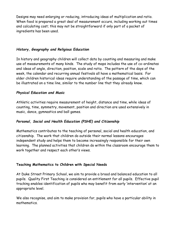Designs may need enlarging or reducing, introducing ideas of multiplication and ratio. When food is prepared a great deal of measurement occurs, including working out times and calculating cost; this may not be straightforward if only part of a packet of ingredients has been used.

## *History, Geography and Religious Education*

In history and geography children will collect data by counting and measuring and make use of measurements of many kinds. The study of maps includes the use of co-ordinates and ideas of angle, direction, position, scale and ratio. The pattern of the days of the week, the calendar and recurring annual festivals all have a mathematical basis. For older children historical ideas require understanding of the passage of time, which can be illustrated on a time line, similar to the number line that they already know.

## *Physical Education and Music*

Athletic activities require measurement of height, distance and time, while ideas of counting, time, symmetry, movement, position and direction are used extensively in music, dance, gymnastics and ball games.

# *Personal, Social and Health Education (PSHE) and Citizenship*

Mathematics contributes to the teaching of personal, social and health education, and citizenship. The work that children do outside their normal lessons encourages independent study and helps them to become increasingly responsible for their own learning. The planned activities that children do within the classroom encourage them to work together and respect each other's views.

#### **Teaching Mathematics to Children with Special Needs**

At Duke Street Primary School, we aim to provide a broad and balanced education to all pupils. Quality First Teaching is considered an entitlement for all pupils. Effective pupil tracking enables identification of pupils who may benefit from early 'intervention' at an appropriate level.

We also recognise, and aim to make provision for, pupils who have a particular ability in mathematics.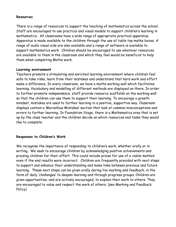#### **Resources**

There is a range of resources to support the teaching of mathematics across the school. Staff are encouraged to use practical and visual models to support children's learning in mathematics. All classrooms have a wide range of appropriate practical apparatus. Apparatus is made available to the children through the use of table top maths boxes. A range of audio visual aids are also available and a range of software is available to support mathematics work. Children should be encouraged to use whatever resources are available to them in the classroom and which they feel would be beneficial to help them when completing Maths work.

#### **Learning environment**

Teachers promote a stimulating and enriched learning environment where children feel safe to take risks, learn from their mistakes and understand that hard work and effort make a difference. In every classroom, we have a maths working wall which facilitates learning. Vocabulary and modelling of different methods are displayed on there. In order to further promote independence, staff provide resource scaffolds on the working wall so that the children can use them to support their learning. To encourage a growth mindset, mistakes are used to further learning in a positive, supportive way. Classroom displays contain a 'Marvellous Mistakes' section that look at common misconceptions and errors to further learning. In Foundation Stage, there is a Mathematics area that is set up by the class teacher and the children decide on which resources and tasks they would like to complete.

#### **Responses to Children's Work**

We recognise the importance of responding to children's work, whether orally or in writing. We seek to encourage children by acknowledging positive achievements and praising children for their effort. This could include praise for use of a viable method even if the end results were incorrect. Children are frequently provided with next steps to support and enhance their understanding and make links between previous and future learning. These next steps can be given orally during live marking and feedback, in the form of daily 'challenges' to deepen learning and through progress groups. Children are given opportunities, and are actively encouraged, to explain their work to others. They are encouraged to value and respect the work of others. (see Marking and Feedback Policy)